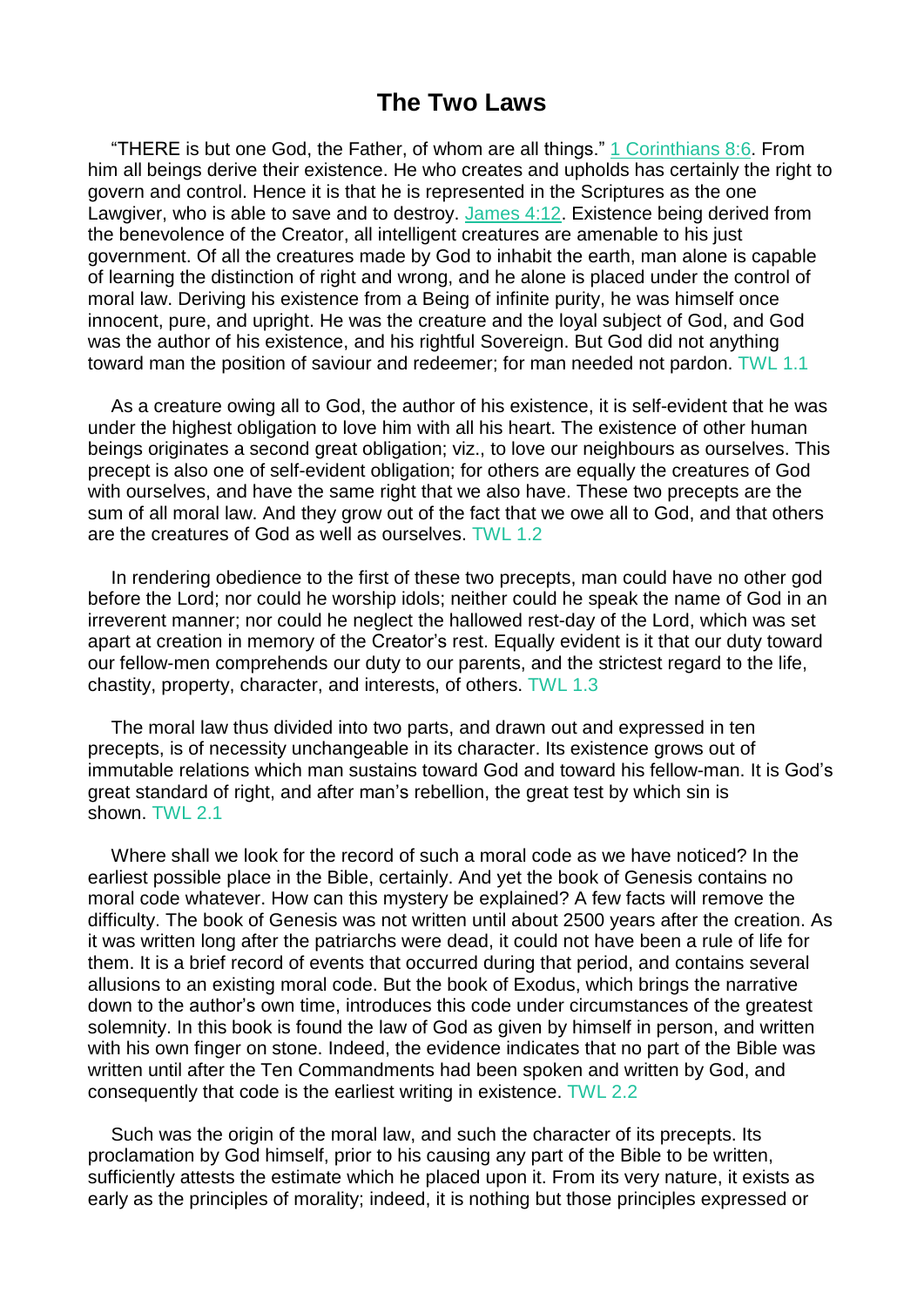## **The Two Laws**

"THERE is but one God, the Father, of whom are all things." 1 [Corinthians](https://m.egwwritings.org/en/book/1965.58185#58185) 8:6. From him all beings derive their existence. He who creates and upholds has certainly the right to govern and control. Hence it is that he is represented in the Scriptures as the one Lawgiver, who is able to save and to destroy. [James](https://m.egwwritings.org/en/book/1965.61910#61910) 4:12. Existence being derived from the benevolence of the Creator, all intelligent creatures are amenable to his just government. Of all the creatures made by God to inhabit the earth, man alone is capable of learning the distinction of right and wrong, and he alone is placed under the control of moral law. Deriving his existence from a Being of infinite purity, he was himself once innocent, pure, and upright. He was the creature and the loyal subject of God, and God was the author of his existence, and his rightful Sovereign. But God did not anything toward man the position of saviour and redeemer; for man needed not pardon. TWL 1.1

As a creature owing all to God, the author of his existence, it is self-evident that he was under the highest obligation to love him with all his heart. The existence of other human beings originates a second great obligation; viz., to love our neighbours as ourselves. This precept is also one of self-evident obligation; for others are equally the creatures of God with ourselves, and have the same right that we also have. These two precepts are the sum of all moral law. And they grow out of the fact that we owe all to God, and that others are the creatures of God as well as ourselves. TWL 1.2

In rendering obedience to the first of these two precepts, man could have no other god before the Lord; nor could he worship idols; neither could he speak the name of God in an irreverent manner; nor could he neglect the hallowed rest-day of the Lord, which was set apart at creation in memory of the Creator's rest. Equally evident is it that our duty toward our fellow-men comprehends our duty to our parents, and the strictest regard to the life, chastity, property, character, and interests, of others. TWL 1.3

The moral law thus divided into two parts, and drawn out and expressed in ten precepts, is of necessity unchangeable in its character. Its existence grows out of immutable relations which man sustains toward God and toward his fellow-man. It is God's great standard of right, and after man's rebellion, the great test by which sin is shown. TWL 2.1

Where shall we look for the record of such a moral code as we have noticed? In the earliest possible place in the Bible, certainly. And yet the book of Genesis contains no moral code whatever. How can this mystery be explained? A few facts will remove the difficulty. The book of Genesis was not written until about 2500 years after the creation. As it was written long after the patriarchs were dead, it could not have been a rule of life for them. It is a brief record of events that occurred during that period, and contains several allusions to an existing moral code. But the book of Exodus, which brings the narrative down to the author's own time, introduces this code under circumstances of the greatest solemnity. In this book is found the law of God as given by himself in person, and written with his own finger on stone. Indeed, the evidence indicates that no part of the Bible was written until after the Ten Commandments had been spoken and written by God, and consequently that code is the earliest writing in existence. TWL 2.2

Such was the origin of the moral law, and such the character of its precepts. Its proclamation by God himself, prior to his causing any part of the Bible to be written, sufficiently attests the estimate which he placed upon it. From its very nature, it exists as early as the principles of morality; indeed, it is nothing but those principles expressed or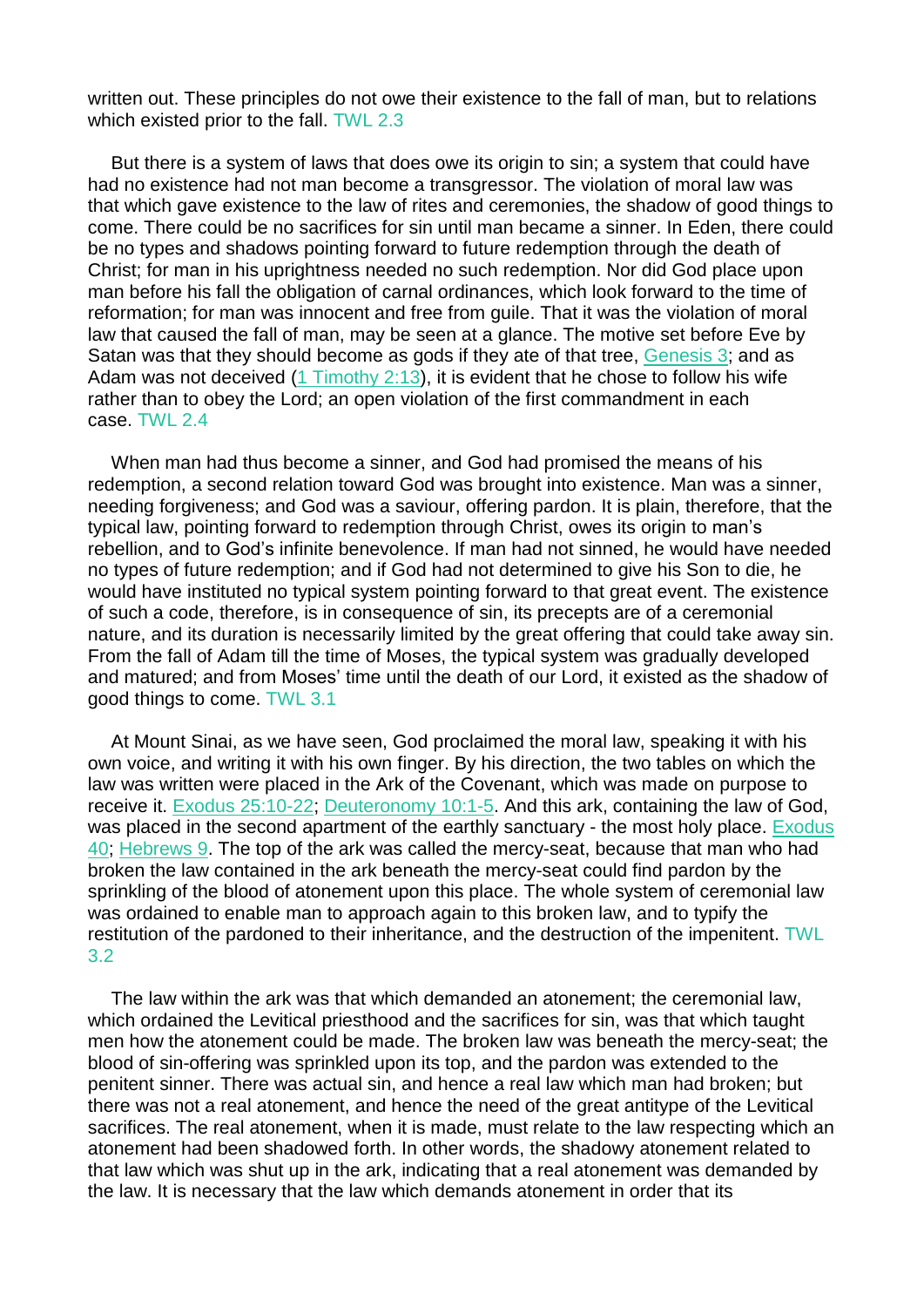written out. These principles do not owe their existence to the fall of man, but to relations which existed prior to the fall. TWL 2.3

But there is a system of laws that does owe its origin to sin; a system that could have had no existence had not man become a transgressor. The violation of moral law was that which gave existence to the law of rites and ceremonies, the shadow of good things to come. There could be no sacrifices for sin until man became a sinner. In Eden, there could be no types and shadows pointing forward to future redemption through the death of Christ; for man in his uprightness needed no such redemption. Nor did God place upon man before his fall the obligation of carnal ordinances, which look forward to the time of reformation; for man was innocent and free from guile. That it was the violation of moral law that caused the fall of man, may be seen at a glance. The motive set before Eve by Satan was that they should become as gods if they ate of that tree, [Genesis](https://m.egwwritings.org/en/book/1965.119#119) 3; and as Adam was not deceived  $(1$  [Timothy](https://m.egwwritings.org/en/book/1965.60636#60636) 2:13), it is evident that he chose to follow his wife rather than to obey the Lord; an open violation of the first commandment in each case. TWL 2.4

When man had thus become a sinner, and God had promised the means of his redemption, a second relation toward God was brought into existence. Man was a sinner, needing forgiveness; and God was a saviour, offering pardon. It is plain, therefore, that the typical law, pointing forward to redemption through Christ, owes its origin to man's rebellion, and to God's infinite benevolence. If man had not sinned, he would have needed no types of future redemption; and if God had not determined to give his Son to die, he would have instituted no typical system pointing forward to that great event. The existence of such a code, therefore, is in consequence of sin, its precepts are of a ceremonial nature, and its duration is necessarily limited by the great offering that could take away sin. From the fall of Adam till the time of Moses, the typical system was gradually developed and matured; and from Moses' time until the death of our Lord, it existed as the shadow of good things to come. TWL 3.1

At Mount Sinai, as we have seen, God proclaimed the moral law, speaking it with his own voice, and writing it with his own finger. By his direction, the two tables on which the law was written were placed in the Ark of the Covenant, which was made on purpose to receive it. Exodus [25:10-22;](https://m.egwwritings.org/en/book/1965.4490#4490) [Deuteronomy](https://m.egwwritings.org/en/book/1965.10545#10545) 10:1-5. And this ark, containing the law of God, was placed in the second apartment of the earthly sanctuary - the most holy place. [Exodus](https://m.egwwritings.org/en/book/1965.5511#5511) [40;](https://m.egwwritings.org/en/book/1965.5511#5511) [Hebrews](https://m.egwwritings.org/en/book/1965.61415#61415) 9. The top of the ark was called the mercy-seat, because that man who had broken the law contained in the ark beneath the mercy-seat could find pardon by the sprinkling of the blood of atonement upon this place. The whole system of ceremonial law was ordained to enable man to approach again to this broken law, and to typify the restitution of the pardoned to their inheritance, and the destruction of the impenitent. TWL 3.2

The law within the ark was that which demanded an atonement; the ceremonial law, which ordained the Levitical priesthood and the sacrifices for sin, was that which taught men how the atonement could be made. The broken law was beneath the mercy-seat; the blood of sin-offering was sprinkled upon its top, and the pardon was extended to the penitent sinner. There was actual sin, and hence a real law which man had broken; but there was not a real atonement, and hence the need of the great antitype of the Levitical sacrifices. The real atonement, when it is made, must relate to the law respecting which an atonement had been shadowed forth. In other words, the shadowy atonement related to that law which was shut up in the ark, indicating that a real atonement was demanded by the law. It is necessary that the law which demands atonement in order that its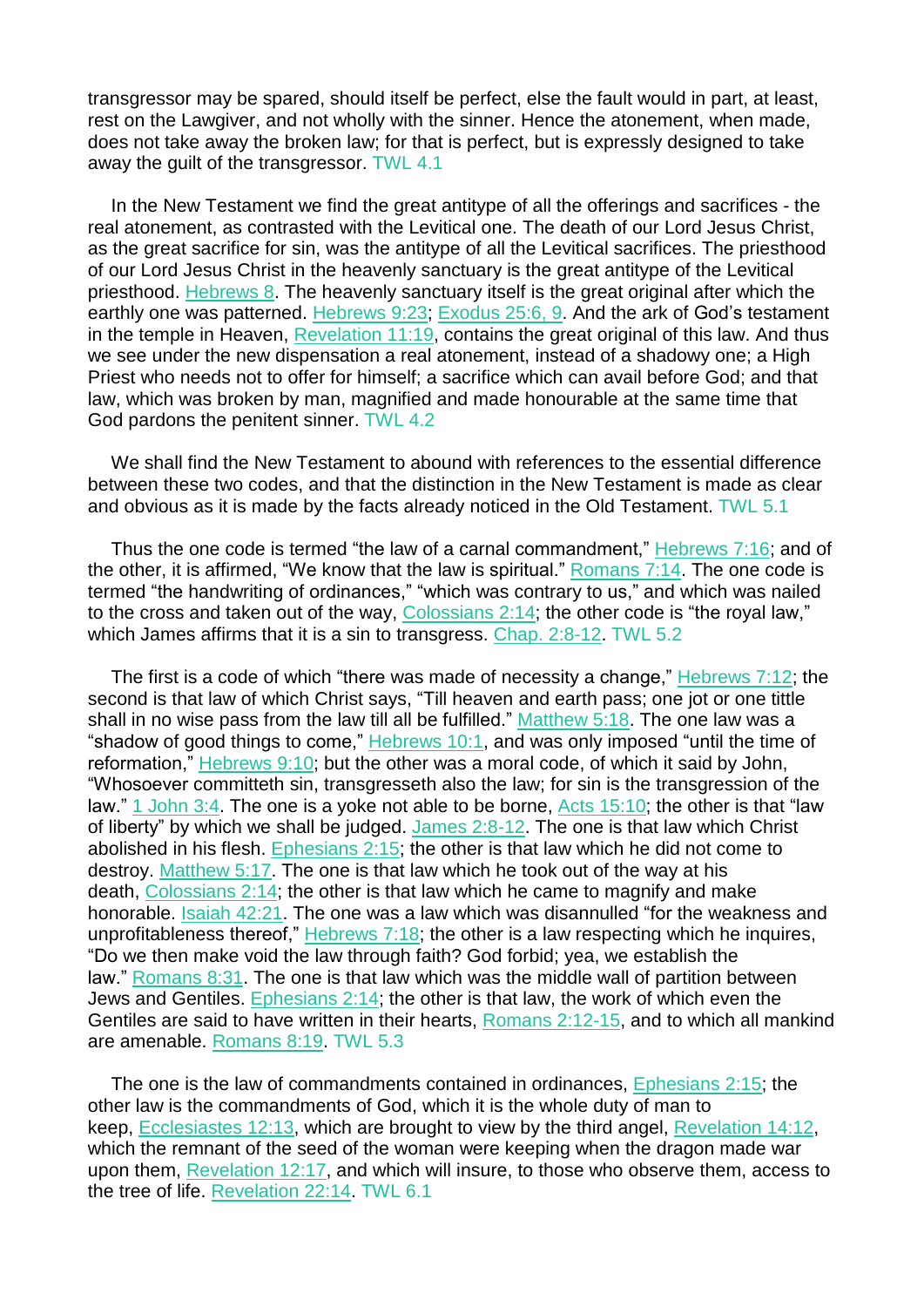transgressor may be spared, should itself be perfect, else the fault would in part, at least, rest on the Lawgiver, and not wholly with the sinner. Hence the atonement, when made, does not take away the broken law; for that is perfect, but is expressly designed to take away the guilt of the transgressor. TWL 4.1

In the New Testament we find the great antitype of all the offerings and sacrifices - the real atonement, as contrasted with the Levitical one. The death of our Lord Jesus Christ, as the great sacrifice for sin, was the antitype of all the Levitical sacrifices. The priesthood of our Lord Jesus Christ in the heavenly sanctuary is the great antitype of the Levitical priesthood. [Hebrews](https://m.egwwritings.org/en/book/1965.61388#61388) 8. The heavenly sanctuary itself is the great original after which the earthly one was patterned. [Hebrews](https://m.egwwritings.org/en/book/1965.61459#61459) 9:23; [Exodus](https://m.egwwritings.org/en/book/1965.4482#4482) 25:6, 9. And the ark of God's testament in the temple in Heaven, [Revelation](https://m.egwwritings.org/en/book/1965.63029#63029) 11:19, contains the great original of this law. And thus we see under the new dispensation a real atonement, instead of a shadowy one; a High Priest who needs not to offer for himself; a sacrifice which can avail before God; and that law, which was broken by man, magnified and made honourable at the same time that God pardons the penitent sinner. TWL 4.2

We shall find the New Testament to abound with references to the essential difference between these two codes, and that the distinction in the New Testament is made as clear and obvious as it is made by the facts already noticed in the Old Testament. TWL 5.1

Thus the one code is termed "the law of a carnal commandment," [Hebrews](https://m.egwwritings.org/en/book/1965.61361#61361) 7:16; and of the other, it is affirmed, "We know that the law is spiritual." [Romans](https://m.egwwritings.org/en/book/1965.57311#57311) 7:14. The one code is termed "the handwriting of ordinances," "which was contrary to us," and which was nailed to the cross and taken out of the way, [Colossians](https://m.egwwritings.org/en/book/1965.60179#60179) 2:14; the other code is "the royal law," which James affirms that it is a sin to transgress. Chap. [2:8-12.](https://m.egwwritings.org/en/book/1965.60167#60167) TWL 5.2

The first is a code of which "there was made of necessity a change," [Hebrews](https://m.egwwritings.org/en/book/1965.61353#61353) 7:12; the second is that law of which Christ says, "Till heaven and earth pass; one jot or one tittle shall in no wise pass from the law till all be fulfilled." [Matthew](https://m.egwwritings.org/en/book/1965.47481#47481) 5:18. The one law was a "shadow of good things to come," [Hebrews](https://m.egwwritings.org/en/book/1965.61472#61472) 10:1, and was only imposed "until the time of reformation," [Hebrews](https://m.egwwritings.org/en/book/1965.61433#61433) 9:10; but the other was a moral code, of which it said by John, "Whosoever committeth sin, transgresseth also the law; for sin is the transgression of the law." 1 [John](https://m.egwwritings.org/en/book/1965.62393#62393) 3:4. The one is a yoke not able to be borne, Acts [15:10;](https://m.egwwritings.org/en/book/1965.55984#55984) the other is that "law of liberty" by which we shall be judged. James [2:8-12.](https://m.egwwritings.org/en/book/1965.61812#61812) The one is that law which Christ abolished in his flesh. [Ephesians](https://m.egwwritings.org/en/book/1965.59639#59639) 2:15; the other is that law which he did not come to destroy. [Matthew](https://m.egwwritings.org/en/book/1965.47479#47479) 5:17. The one is that law which he took out of the way at his death, [Colossians](https://m.egwwritings.org/en/book/1965.60179#60179) 2:14; the other is that law which he came to magnify and make honorable. [Isaiah](https://m.egwwritings.org/en/book/1965.37749#37749) 42:21. The one was a law which was disannulled "for the weakness and unprofitableness thereof," [Hebrews](https://m.egwwritings.org/en/book/1965.61365#61365) 7:18; the other is a law respecting which he inquires, "Do we then make void the law through faith? God forbid; yea, we establish the law." [Romans](https://m.egwwritings.org/en/book/1965.57396#57396) 8:31. The one is that law which was the middle wall of partition between Jews and Gentiles. [Ephesians](https://m.egwwritings.org/en/book/1965.59637#59637) 2:14; the other is that law, the work of which even the Gentiles are said to have written in their hearts, [Romans](https://m.egwwritings.org/en/book/1965.57044#57044) 2:12-15, and to which all mankind are amenable. [Romans](https://m.egwwritings.org/en/book/1965.57372#57372) 8:19. TWL 5.3

The one is the law of commandments contained in ordinances, [Ephesians](https://m.egwwritings.org/en/book/1965.59639#59639) 2:15; the other law is the commandments of God, which it is the whole duty of man to keep, [Ecclesiastes](https://m.egwwritings.org/en/book/1965.35767#35767) 12:13, which are brought to view by the third angel, [Revelation](https://m.egwwritings.org/en/book/1965.63126#63126) 14:12, which the remnant of the seed of the woman were keeping when the dragon made war upon them, [Revelation](https://m.egwwritings.org/en/book/1965.63064#63064) 12:17, and which will insure, to those who observe them, access to the tree of life. [Revelation](https://m.egwwritings.org/en/book/1965.63446#63446) 22:14. TWL 6.1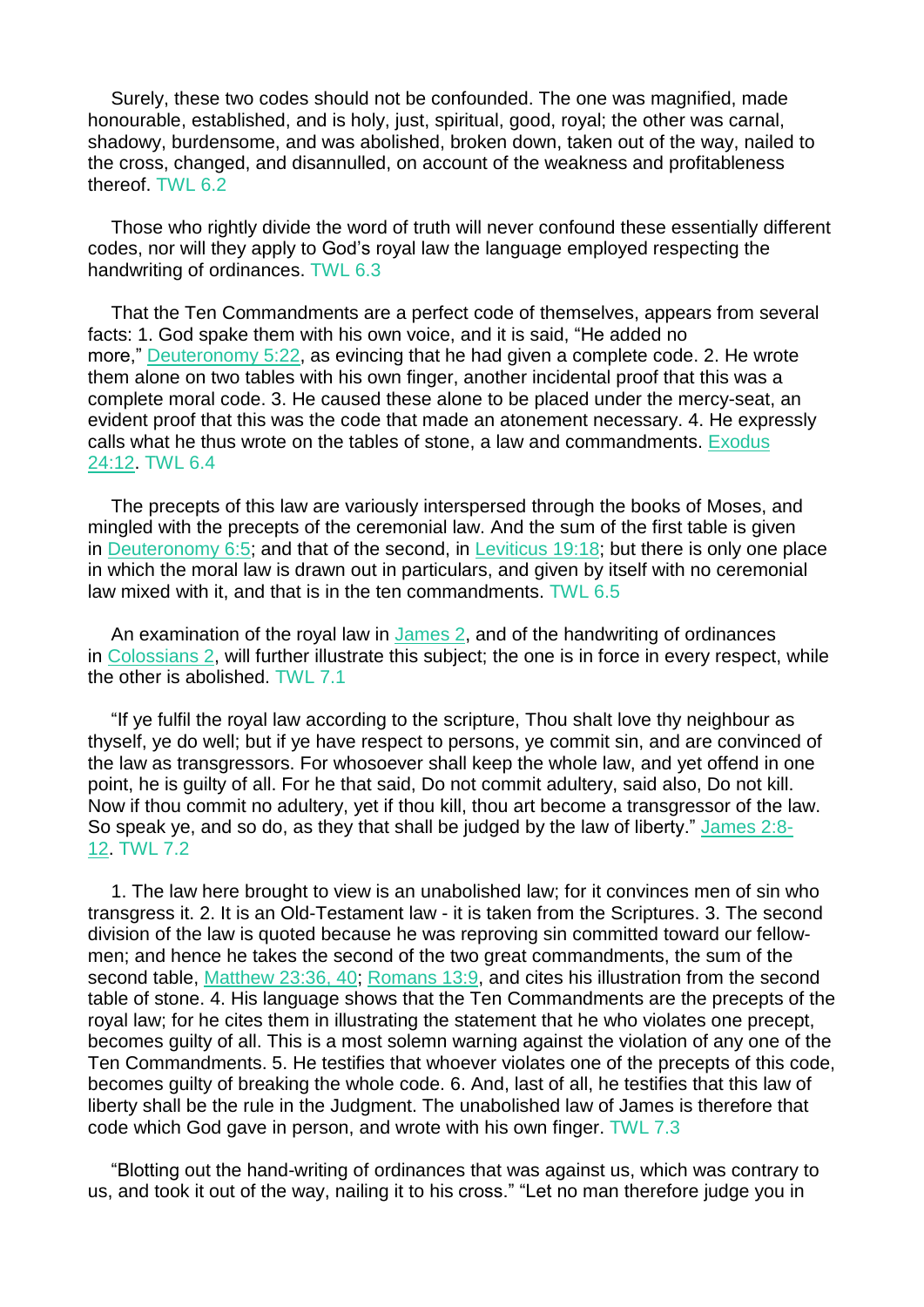Surely, these two codes should not be confounded. The one was magnified, made honourable, established, and is holy, just, spiritual, good, royal; the other was carnal, shadowy, burdensome, and was abolished, broken down, taken out of the way, nailed to the cross, changed, and disannulled, on account of the weakness and profitableness thereof. TWL 6.2

Those who rightly divide the word of truth will never confound these essentially different codes, nor will they apply to God's royal law the language employed respecting the handwriting of ordinances. TWL 6.3

That the Ten Commandments are a perfect code of themselves, appears from several facts: 1. God spake them with his own voice, and it is said, "He added no more," [Deuteronomy](https://m.egwwritings.org/en/book/1965.10316#10316) 5:22, as evincing that he had given a complete code. 2. He wrote them alone on two tables with his own finger, another incidental proof that this was a complete moral code. 3. He caused these alone to be placed under the mercy-seat, an evident proof that this was the code that made an atonement necessary. 4. He expressly calls what he thus wrote on the tables of stone, a law and commandments. [Exodus](https://m.egwwritings.org/en/book/1965.4457#4457) [24:12.](https://m.egwwritings.org/en/book/1965.4457#4457) TWL 6.4

The precepts of this law are variously interspersed through the books of Moses, and mingled with the precepts of the ceremonial law. And the sum of the first table is given in [Deuteronomy](https://m.egwwritings.org/en/book/1965.10349#10349) 6:5; and that of the second, in [Leviticus](https://m.egwwritings.org/en/book/1965.6713#6713) 19:18; but there is only one place in which the moral law is drawn out in particulars, and given by itself with no ceremonial law mixed with it, and that is in the ten commandments. TWL 6.5

An examination of the royal law in [James](https://m.egwwritings.org/en/book/1965.61798#61798) 2, and of the handwriting of ordinances in [Colossians](https://m.egwwritings.org/en/book/1965.60153#60153) 2, will further illustrate this subject; the one is in force in every respect, while the other is abolished. TWL 7.1

"If ye fulfil the royal law according to the scripture, Thou shalt love thy neighbour as thyself, ye do well; but if ye have respect to persons, ye commit sin, and are convinced of the law as transgressors. For whosoever shall keep the whole law, and yet offend in one point, he is guilty of all. For he that said, Do not commit adultery, said also, Do not kill. Now if thou commit no adultery, yet if thou kill, thou art become a transgressor of the law. So speak ye, and so do, as they that shall be judged by the law of liberty." [James](https://m.egwwritings.org/en/book/1965.61812#61812) 2:8- [12.](https://m.egwwritings.org/en/book/1965.61812#61812) TWL 7.2

1. The law here brought to view is an unabolished law; for it convinces men of sin who transgress it. 2. It is an Old-Testament law - it is taken from the Scriptures. 3. The second division of the law is quoted because he was reproving sin committed toward our fellowmen; and hence he takes the second of the two great commandments, the sum of the second table, [Matthew](https://m.egwwritings.org/en/book/1965.48903#48903) 23:36, 40; [Romans](https://m.egwwritings.org/en/book/1965.57657#57657) 13:9, and cites his illustration from the second table of stone. 4. His language shows that the Ten Commandments are the precepts of the royal law; for he cites them in illustrating the statement that he who violates one precept, becomes guilty of all. This is a most solemn warning against the violation of any one of the Ten Commandments. 5. He testifies that whoever violates one of the precepts of this code, becomes guilty of breaking the whole code. 6. And, last of all, he testifies that this law of liberty shall be the rule in the Judgment. The unabolished law of James is therefore that code which God gave in person, and wrote with his own finger. TWL 7.3

"Blotting out the hand-writing of ordinances that was against us, which was contrary to us, and took it out of the way, nailing it to his cross." "Let no man therefore judge you in